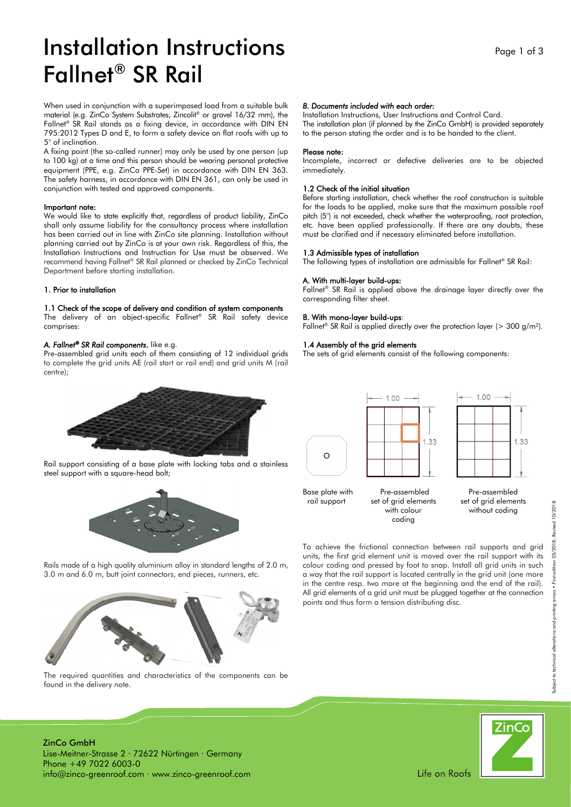# Installation Instructions Fallnet® SR Rail

When used in conjunction with a superimposed load from a suitable bulk material (e.g. ZinCo System Substrates, Zincolit® or gravel 16/32 mm), the Fallnet® SR Rail stands as a fixing device, in accordance with DIN EN 795:2012 Types D and E, to form a safety device on flat roofs with up to 5° of inclination.

A fixing point (the so-called runner) may only be used by one person (up to 100 kg) at a time and this person should be wearing personal protective equipment (PPE, e.g. ZinCo PPE-Set) in accordance with DIN EN 363. The safety harness, in accordance with DIN EN 361, can only be used in conjunction with tested and approved components.

#### Important note:

We would like to state explicitly that, regardless of product liability, ZinCo shall only assume liability for the consultancy process where installation has been carried out in line with ZinCo site planning. Installation without planning carried out by ZinCo is at your own risk. Regardless of this, the Installation Instructions and Instruction for Use must be observed. We recommend having Fallnet® SR Rail planned or checked by ZinCo Technical Department before starting installation.

### 1. Prior to installation

### 1.1 Check of the scope of delivery and condition of system components

The delivery of an object-specific Fallnet® SR Rail safety device comprises:

#### *A. Fallnet® SR Rail components*, like e.g.

Pre-assembled grid units each of them consisting of 12 individual grids to complete the grid units AE (rail start or rail end) and grid units M (rail centre);



Rail support consisting of a base plate with locking tabs and a stainless steel support with a square-head bolt;



Rails made of a high quality aluminium alloy in standard lengths of 2.0 m, 3.0 m and 6.0 m, butt joint connectors, end pieces, runners, etc.



*B. Documents included with each order:* 

1.2 Check of the initial situation

1.3 Admissible types of installation

A. With multi-layer build-ups:

B. With mono-layer build-ups:

1.4 Assembly of the grid elements

corresponding filter sheet.

Please note:

immediately.

Installation Instructions, User Instructions and Control Card.

The installation plan (if planned by the ZinCo GmbH) is provided separately to the person stating the order and is to be handed to the client.

Incomplete, incorrect or defective deliveries are to be objected

Before starting installation, check whether the roof construction is suitable for the loads to be applied, make sure that the maximum possible roof pitch (5°) is not exceeded, check whether the waterproofing, root protection, etc. have been applied professionally. If there are any doubts, these must be clarified and if necessary eliminated before installation.

The following types of installation are admissible for Fallnet® SR Rail:

Fallnet® SR Rail is applied above the drainage layer directly over the

Fallnet<sup>®</sup> SR Rail is applied directly over the protection layer (> 300 g/m<sup>2</sup>).

The sets of grid elements consist of the following components:

1.00



 $\circ$ 

rail support set of grid elements coding

with colour without coding

To achieve the frictional connection between rail supports and grid units, the first grid element unit is moved over the rail support with its colour coding and pressed by foot to snap. Install all grid units in such a way that the rail support is located centrally in the grid unit (one more in the centre resp. two more at the beginning and the end of the rail). All grid elements of a grid unit must be plugged together at the connection points and thus form a tension distributing disc.

**ZinCo** 

ZinCo GmbH Lise-Meitner-Strasse 2 · 72622 Nürtingen · Germany Phone +49 7022 6003-0

info@zinco-greenroof.com · www.zinco-greenroof.com

found in the delivery note.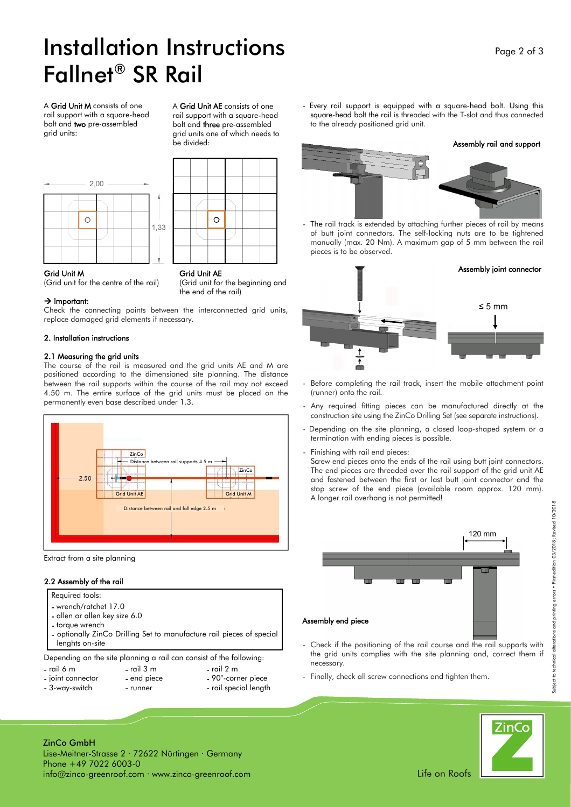# Installation Instructions Fallnet® SR Rail

A Grid Unit M consists of one rail support with a square-head bolt and two pre-assembled grid units:



A Grid Unit AE consists of one rail support with a square-head bolt and three pre-assembled grid units one of which needs to be divided:



(Grid unit for the beginning and

the end of the rail)

Grid Unit M<br>(Grid unit for the centre of the rail) (Grid unit for

### $\rightarrow$  Important:

Check the connecting points between the interconnected grid units, replace damaged grid elements if necessary.

### 2. Installation instructions

### 2.1 Measuring the grid units

The course of the rail is measured and the grid units AE and M are positioned according to the dimensioned site planning. The distance between the rail supports within the course of the rail may not exceed 4.50 m. The entire surface of the grid units must be placed on the permanently even base described under 1.3.



Extract from a site planning

### 2.2 Assembly of the rail

- Required tools:
- wrench/ratchet 17.0
- allen or allen key size 6.0
- torque wrench
- optionally ZinCo Drilling Set to manufacture rail pieces of special lenghts on-site

Depending on the site planning a rail can consist of the following:

- rail 6 m rail 3 m rail 2 m<br>- joint connector end piece 90°-corr
- 
- 
- 3-way-switch runner rail special length
- 
- 90°-corner piece
- 

- Every rail support is equipped with a square-head bolt. Using this square-head bolt the rail is threaded with the T-slot and thus connected to the already positioned grid unit.

### Assembly rail and support





- The rail track is extended by attaching further pieces of rail by means of butt joint connectors. The self-locking nuts are to be tightened manually (max. 20 Nm). A maximum gap of 5 mm between the rail pieces is to be observed.



- Before completing the rail track, insert the mobile attachment point (runner) onto the rail.
- Any required fitting pieces can be manufactured directly at the construction site using the ZinCo Drilling Set (see separate instructions).
- Depending on the site planning, a closed loop-shaped system or a termination with ending pieces is possible.
- Finishing with rail end pieces: Screw end pieces onto the ends of the rail using butt joint connectors. The end pieces are threaded over the rail support of the grid unit AE and fastened between the first or last butt joint connector and the stop screw of the end piece (available room approx. 120 mm). A longer rail overhang is not permitted!



- Check if the positioning of the rail course and the rail supports with the grid units complies with the site planning and, correct them if necessary.
- Finally, check all screw connections and tighten them.



Subject to technical alterations and printing errors • First edition 03/2018; Revised 10/2018

Subject to technical altera

and printing errors . First edition 03/2018; Revised 10/2018

ZinCo GmbH Lise-Meitner-Strasse 2 · 72622 Nürtingen · Germany Phone +49 7022 6003-0 info@zinco-greenroof.com · www.zinco-greenroof.com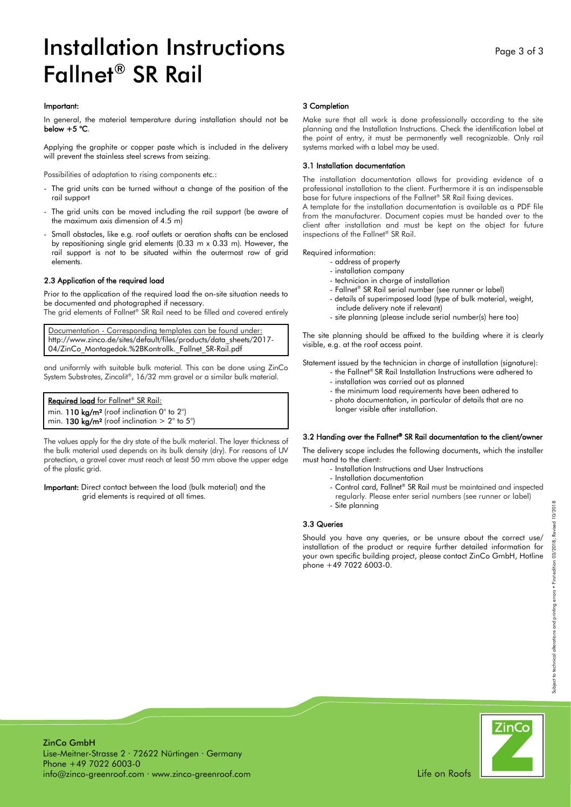## Installation Instructions Fallnet® SR Rail

 In general, the material temperature during installation should not be below  $+5$  °C.

Applying the graphite or copper paste which is included in the delivery will prevent the stainless steel screws from seizing.

Possibilities of adaptation to rising components etc.:

- The grid units can be turned without a change of the position of the rail support
- The grid units can be moved including the rail support (be aware of the maximum axis dimension of 4.5 m)
- Small obstacles, like e.g. roof outlets or aeration shafts can be enclosed by repositioning single grid elements (0.33 m x 0.33 m). However, the rail support is not to be situated within the outermost row of grid elements.

### 2.3 Application of the required load

Prior to the application of the required load the on-site situation needs to be documented and photographed if necessary.

The grid elements of Fallnet® SR Rail need to be filled and covered entirely

Documentation - Corresponding templates can be found under: http://www.zinco.de/sites/default/files/products/data\_sheets/2017- 04/ZinCo Montagedok.%2BKontrollk. Fallnet SR-Rail.pdf

and uniformly with suitable bulk material. This can be done using ZinCo System Substrates, Zincolit® , 16/32 mm gravel or a similar bulk material.

| Required load for Fallnet® SR Rail:                               |  |
|-------------------------------------------------------------------|--|
| min. 110 kg/m <sup>2</sup> (roof inclination 0° to 2°)            |  |
| min. 130 kg/m <sup>2</sup> (roof inclination $> 2^{\circ}$ to 5°) |  |

The values apply for the dry state of the bulk material. The layer thickness of the bulk material used depends on its bulk density (dry). For reasons of UV protection, a gravel cover must reach at least 50 mm above the upper edge of the plastic grid.

Important: Direct contact between the load (bulk material) and the grid elements is required at all times.

#### 3 Completion

 Make sure that all work is done professionally according to the site planning and the Installation Instructions. Check the identification label at the point of entry, it must be permanently well recognizable. Only rail systems marked with a label may be used.

### 3.1 Installation documentation

The installation documentation allows for providing evidence of a professional installation to the client. Furthermore it is an indispensable base for future inspections of the Fallnet® SR Rail fixing devices.

A template for the installation documentation is available as a PDF file from the manufacturer. Document copies must be handed over to the client after installation and must be kept on the object for future inspections of the Fallnet® SR Rail.

### Required information:

- address of property
- installation company
- technician in charge of installation
- Fallnet® SR Rail serial number (see runner or label)
- details of superimposed load (type of bulk material, weight,
- include delivery note if relevant)
- site planning (please include serial number(s) here too)

The site planning should be affixed to the building where it is clearly visible, e.g. at the roof access point.

Statement issued by the technician in charge of installation (signature):

- the Fallnet® SR Rail Installation Instructions were adhered to
- installation was carried out as planned
- the minimum load requirements have been adhered to
- photo documentation, in particular of details that are no
- longer visible after installation.

### 3.2 Handing over the Fallnet® SR Rail documentation to the client/owner

The delivery scope includes the following documents, which the installer must hand to the client:

- Installation Instructions and User Instructions
- Installation documentation
- Control card, Fallnet® SR Rail must be maintained and inspected regularly. Please enter serial numbers (see runner or label)
- Site planning

### 3.3 Queries

Should you have any queries, or be unsure about the correct use/ installation of the product or require further detailed information for your own specific building project, please contact ZinCo GmbH, Hotline  $\overline{p}$ phone +49 7022 6003-0.



ZinCo GmbH Lise-Meitner-Strasse 2 · 72622 Nürtingen · Germany Phone +49 7022 6003-0 info@zinco-greenroof.com · www.zinco-greenroof.com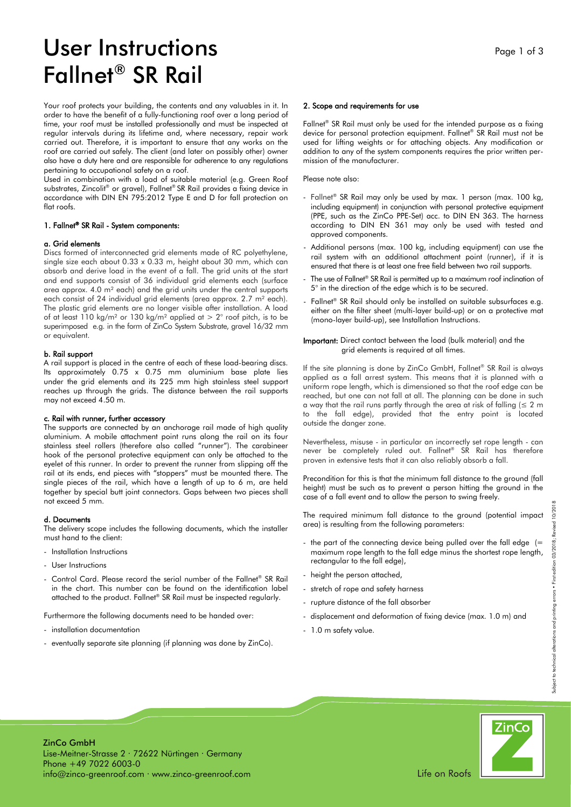# User Instructions Fallnet® SR Rail

Your roof protects your building, the contents and any valuables in it. In order to have the benefit of a fully-functioning roof over a long period of time, your roof must be installed professionally and must be inspected at regular intervals during its lifetime and, where necessary, repair work carried out. Therefore, it is important to ensure that any works on the roof are carried out safely. The client (and later on possibly other) owner also have a duty here and are responsible for adherence to any regulations pertaining to occupational safety on a roof.

Used in combination with a load of suitable material (e.g. Green Roof substrates, Zincolit® or gravel), Fallnet® SR Rail provides a fixing device in accordance with DIN EN 795:2012 Type E and D for fall protection on flat roofs.

### 1. Fallnet® SR Rail - System components:

### a. Grid elements

Discs formed of interconnected grid elements made of RC polyethylene, single size each about 0.33 x 0.33 m, height about 30 mm, which can absorb and derive load in the event of a fall. The grid units at the start and end supports consist of 36 individual grid elements each (surface area approx. 4.0 m² each) and the grid units under the central supports each consist of 24 individual grid elements (area approx. 2.7 m<sup>2</sup> each). The plastic grid elements are no longer visible after installation. A load of at least 110 kg/m<sup>2</sup> or 130 kg/m<sup>2</sup> applied at  $> 2^{\circ}$  roof pitch, is to be superimposed e.g. in the form of ZinCo System Substrate, gravel 16/32 mm or equivalent.

### b. Rail support

A rail support is placed in the centre of each of these load-bearing discs. Its approximately 0.75 x 0.75 mm aluminium base plate lies under the grid elements and its 225 mm high stainless steel support reaches up through the grids. The distance between the rail supports may not exceed 4.50 m.

### c. Rail with runner, further accessory

The supports are connected by an anchorage rail made of high quality aluminium. A mobile attachment point runs along the rail on its four stainless steel rollers (therefore also called "runner"). The carabineer hook of the personal protective equipment can only be attached to the eyelet of this runner. In order to prevent the runner from slipping off the rail at its ends, end pieces with "stoppers" must be mounted there. The single pieces of the rail, which have a length of up to 6 m, are held together by special butt joint connectors. Gaps between two pieces shall not exceed 5 mm.

### d. Documents

The delivery scope includes the following documents, which the installer must hand to the client:

- Installation Instructions
- User Instructions
- Control Card. Please record the serial number of the Fallnet® SR Rail in the chart. This number can be found on the identification label attached to the product. Fallnet® SR Rail must be inspected regularly.

Furthermore the following documents need to be handed over:

- installation documentation
- eventually separate site planning (if planning was done by ZinCo).

### 2. Scope and requirements for use

Fallnet® SR Rail must only be used for the intended purpose as a fixing device for personal protection equipment. Fallnet® SR Rail must not be used for lifting weights or for attaching objects. Any modification or addition to any of the system components requires the prior written permission of the manufacturer.

Please note also:

- Fallnet® SR Rail may only be used by max. 1 person (max. 100 kg, including equipment) in conjunction with personal protective equipment (PPE, such as the ZinCo PPE-Set) acc. to DIN EN 363. The harness according to DIN EN 361 may only be used with tested and approved components.
- Additional persons (max. 100 kg, including equipment) can use the rail system with an additional attachment point (runner), if it is ensured that there is at least one free field between two rail supports.
- The use of Fallnet® SR Rail is permitted up to a maximum roof inclination of 5° in the direction of the edge which is to be secured.
- Fallnet® SR Rail should only be installed on suitable subsurfaces e.g. either on the filter sheet (multi-layer build-up) or on a protective mat (mono-layer build-up), see Installation Instructions.

### Important: Direct contact between the load (bulk material) and the grid elements is required at all times.

If the site planning is done by ZinCo GmbH, Fallnet® SR Rail is always applied as a fall arrest system. This means that it is planned with a uniform rope length, which is dimensioned so that the roof edge can be reached, but one can not fall at all. The planning can be done in such a way that the rail runs partly through the area at risk of falling ( $\leq 2$  m to the fall edge), provided that the entry point is located outside the danger zone.

Nevertheless, misuse - in particular an incorrectly set rope length - can never be completely ruled out. Fallnet® SR Rail has therefore proven in extensive tests that it can also reliably absorb a fall.

Precondition for this is that the minimum fall distance to the ground (fall height) must be such as to prevent a person hitting the ground in the case of a fall event and to allow the person to swing freely.

The required minimum fall distance to the ground (potential impact area) is resulting from the following parameters:

- the part of the connecting device being pulled over the fall edge (= maximum rope length to the fall edge minus the shortest rope length, rectangular to the fall edge),
- height the person attached,
- stretch of rope and safety harness
- rupture distance of the fall absorber
- displacement and deformation of fixing device (max. 1.0 m) and
- 1.0 m safety value.

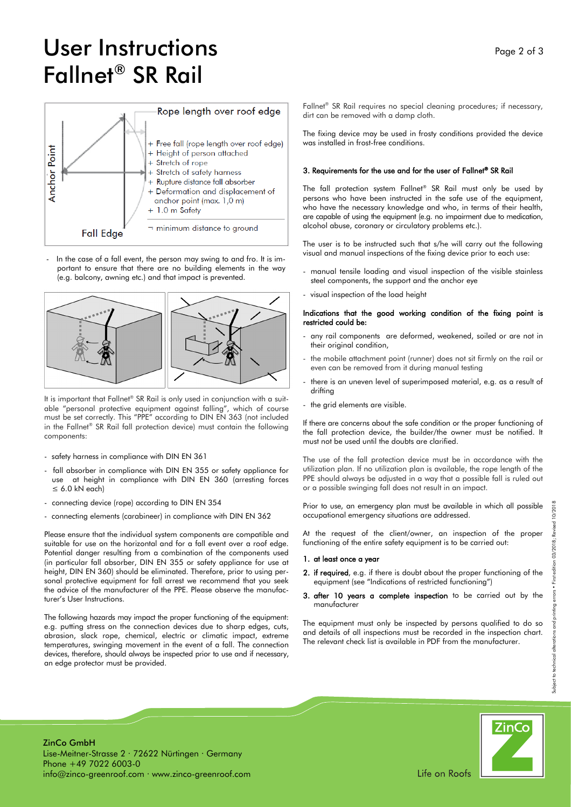# User Instructions Fallnet® SR Rail



In the case of a fall event, the person may swing to and fro. It is important to ensure that there are no building elements in the way (e.g. balcony, awning etc.) and that impact is prevented.



It is important that Fallnet® SR Rail is only used in conjunction with a suitable "personal protective equipment against falling", which of course must be set correctly. This "PPE" according to DIN EN 363 (not included in the Fallnet® SR Rail fall protection device) must contain the following components:

- safety harness in compliance with DIN EN 361
- fall absorber in compliance with DIN EN 355 or safety appliance for use at height in compliance with DIN EN 360 (arresting forces  $\leq 6.0$  kN each)
- connecting device (rope) according to DIN EN 354
- connecting elements (carabineer) in compliance with DIN EN 362

Please ensure that the individual system components are compatible and suitable for use on the horizontal and for a fall event over a roof edge. Potential danger resulting from a combination of the components used (in particular fall absorber, DIN EN 355 or safety appliance for use at height, DIN EN 360) should be eliminated. Therefore, prior to using personal protective equipment for fall arrest we recommend that you seek the advice of the manufacturer of the PPE. Please observe the manufacturer's User Instructions.

The following hazards may impact the proper functioning of the equipment: e.g. putting stress on the connection devices due to sharp edges, cuts, abrasion, slack rope, chemical, electric or climatic impact, extreme temperatures, swinging movement in the event of a fall. The connection devices, therefore, should always be inspected prior to use and if necessary, an edge protector must be provided.

Fallnet® SR Rail requires no special cleaning procedures; if necessary, dirt can be removed with a damp cloth.

The fixing device may be used in frosty conditions provided the device was installed in frost-free conditions.

### 3. Requirements for the use and for the user of Fallnet® SR Rail

The fall protection system Fallnet® SR Rail must only be used by persons who have been instructed in the safe use of the equipment, who have the necessary knowledge and who, in terms of their health, are capable of using the equipment (e.g. no impairment due to medication, alcohol abuse, coronary or circulatory problems etc.).

The user is to be instructed such that s/he will carry out the following visual and manual inspections of the fixing device prior to each use:

- manual tensile loading and visual inspection of the visible stainless steel components, the support and the anchor eye
- visual inspection of the load height

### Indications that the good working condition of the fixing point is restricted could be:

- any rail components are deformed, weakened, soiled or are not in their original condition,
- the mobile attachment point (runner) does not sit firmly on the rail or even can be removed from it during manual testing
- there is an uneven level of superimposed material, e.g. as a result of drifting
- the grid elements are visible.

If there are concerns about the safe condition or the proper functioning of the fall protection device, the builder/the owner must be notified. It must not be used until the doubts are clarified.

The use of the fall protection device must be in accordance with the utilization plan. If no utilization plan is available, the rope length of the PPE should always be adjusted in a way that a possible fall is ruled out or a possible swinging fall does not result in an impact.

Prior to use, an emergency plan must be available in which all possible occupational emergency situations are addressed.

At the request of the client/owner, an inspection of the proper functioning of the entire safety equipment is to be carried out:

### 1. at least once a year

- 2. if required, e.g. if there is doubt about the proper functioning of the equipment (see "Indications of restricted functioning")
- 3. after 10 years a complete inspection to be carried out by the manufacturer

The equipment must only be inspected by persons qualified to do so and details of all inspections must be recorded in the inspection chart. The relevant check list is available in PDF from the manufacturer.



ZinCo GmbH Lise-Meitner-Strasse 2 · 72622 Nürtingen · Germany Phone +49 7022 6003-0 info@zinco-greenroof.com · www.zinco-greenroof.com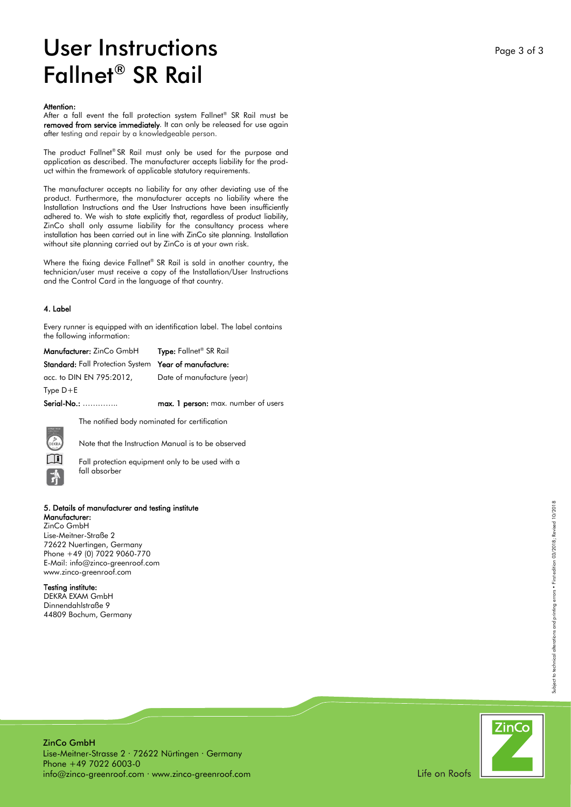## User Instructions Fallnet ® SR Rail

#### Attention:

After a fall event the fall protection system Fallnet ® SR Rail must be removed from service immediately. It can only be released for use again after testing and repair by a knowledgeable person.

The product Fallnet ® SR Rail must only be used for the purpose and application as described. The manufacturer accepts liability for the product within the framework of applicable statutory requirements.

The manufacturer accepts no liability for any other deviating use of the product. Furthermore, the manufacturer accepts no liability where the Installation Instructions and the User Instructions have been insufficiently adhered to. We wish to state explicitly that, regardless of product liability, ZinCo shall only assume liability for the consultancy process where installation has been carried out in line with ZinCo site planning. Installation without site planning carried out by ZinCo is at your own risk.

Where the fixing device Fallnet ® SR Rail is sold in another country, the technician/user must receive a copy of the Installation/User Instructions and the Control Card in the language of that country.

### 4. Label

Every runner is equipped with an identification label. The label contains the following information:

| <b>Manufacturer:</b> ZinCo GmbH                              | <b>Type:</b> Fallnet <sup>®</sup> SR Rail |
|--------------------------------------------------------------|-------------------------------------------|
| <b>Standard:</b> Fall Protection System Year of manufacture: |                                           |
| acc. to DIN EN 795:2012,                                     | Date of manufacture (year)                |
| $Type D + E$                                                 |                                           |
| Serial-No.:                                                  | max. 1 person: max. number of users       |

The notified body nominated for certification

Note that the Instruction Manual is to be observed

Fall protection equipment only to be used with a fall absorber

### 5. Details of manufacturer and testing institute

Manufacturer: ZinCo GmbH Lise-Meitner-Straße 2 72622 Nuertingen, Germany Phone +49 (0) 7022 9060-770 E-Mail: info@zinco-greenroof.com www.zinco-greenroof.com

### Testing institute:

DEKRA EXAM GmbH Dinnendahlstraße 9 44809 Bochum, Germany



ZinCo GmbH Lise-Meitner-Strasse 2 · 72622 Nürtingen · Germany Phone +49 7022 6003-0 info@zinco-greenroof.com · www.zinco-greenroof.com Subject to technical alterations and printing errors • First edition 03/2018; Revised 10/2018

Subject to technical alterations and printing errors . First edition 03/2018; Revised 10/2018